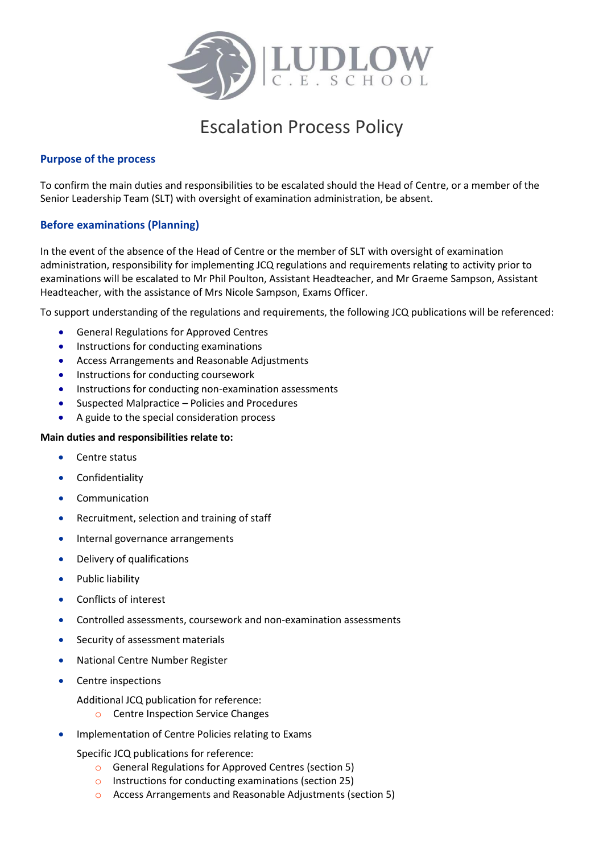

# Escalation Process Policy

## **Purpose of the process**

To confirm the main duties and responsibilities to be escalated should the Head of Centre, or a member of the Senior Leadership Team (SLT) with oversight of examination administration, be absent.

# **Before examinations (Planning)**

In the event of the absence of the Head of Centre or the member of SLT with oversight of examination administration, responsibility for implementing JCQ regulations and requirements relating to activity prior to examinations will be escalated to Mr Phil Poulton, Assistant Headteacher, and Mr Graeme Sampson, Assistant Headteacher, with the assistance of Mrs Nicole Sampson, Exams Officer.

To support understanding of the regulations and requirements, the following JCQ publications will be referenced:

- General Regulations for Approved Centres
- **•** Instructions for conducting examinations
- Access Arrangements and Reasonable Adjustments
- **•** Instructions for conducting coursework
- Instructions for conducting non-examination assessments
- Suspected Malpractice Policies and Procedures
- A guide to the special consideration process

#### **Main duties and responsibilities relate to:**

- Centre status
- **•** Confidentiality
- Communication
- Recruitment, selection and training of staff
- Internal governance arrangements
- Delivery of qualifications
- Public liability
- Conflicts of interest
- Controlled assessments, coursework and non-examination assessments
- Security of assessment materials
- National Centre Number Register
- Centre inspections
	- Additional JCQ publication for reference:
		- o Centre Inspection Service Changes
- **•** Implementation of Centre Policies relating to Exams

Specific JCQ publications for reference:

- o General Regulations for Approved Centres (section 5)
- o Instructions for conducting examinations (section 25)
- o Access Arrangements and Reasonable Adjustments (section 5)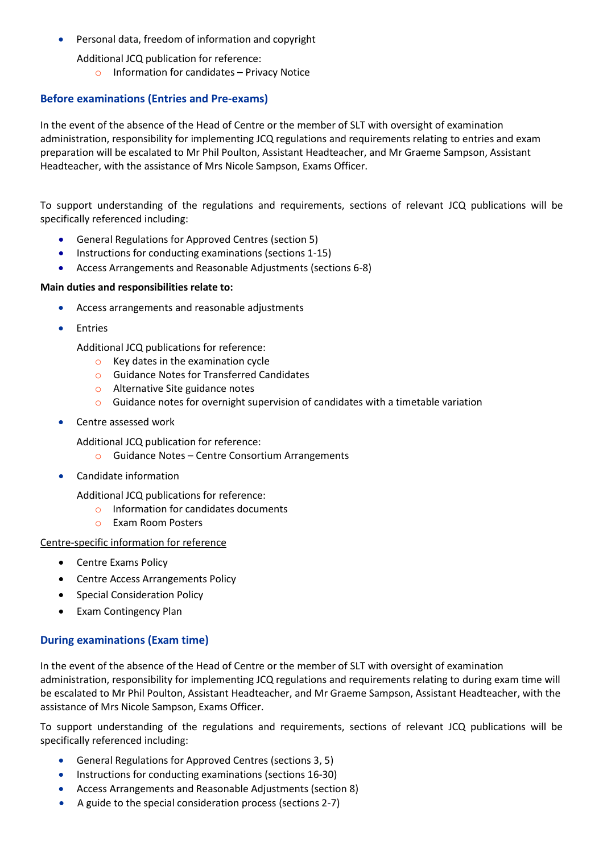• Personal data, freedom of information and copyright

Additional JCQ publication for reference:

 $\circ$  Information for candidates – Privacy Notice

## **Before examinations (Entries and Pre-exams)**

In the event of the absence of the Head of Centre or the member of SLT with oversight of examination administration, responsibility for implementing JCQ regulations and requirements relating to entries and exam preparation will be escalated to Mr Phil Poulton, Assistant Headteacher, and Mr Graeme Sampson, Assistant Headteacher, with the assistance of Mrs Nicole Sampson, Exams Officer.

To support understanding of the regulations and requirements, sections of relevant JCQ publications will be specifically referenced including:

- General Regulations for Approved Centres (section 5)
- Instructions for conducting examinations (sections 1-15)
- Access Arrangements and Reasonable Adjustments (sections 6-8)

#### **Main duties and responsibilities relate to:**

- Access arrangements and reasonable adjustments
- **•** Entries

Additional JCQ publications for reference:

- o Key dates in the examination cycle
- o Guidance Notes for Transferred Candidates
- o Alternative Site guidance notes
- $\circ$  Guidance notes for overnight supervision of candidates with a timetable variation
- Centre assessed work

Additional JCQ publication for reference:

- o Guidance Notes Centre Consortium Arrangements
- Candidate information

Additional JCQ publications for reference:

- o Information for candidates documents
- o Exam Room Posters

#### Centre-specific information for reference

- Centre Exams Policy
- Centre Access Arrangements Policy
- Special Consideration Policy
- Exam Contingency Plan

# **During examinations (Exam time)**

In the event of the absence of the Head of Centre or the member of SLT with oversight of examination administration, responsibility for implementing JCQ regulations and requirements relating to during exam time will be escalated to Mr Phil Poulton, Assistant Headteacher, and Mr Graeme Sampson, Assistant Headteacher, with the assistance of Mrs Nicole Sampson, Exams Officer.

To support understanding of the regulations and requirements, sections of relevant JCQ publications will be specifically referenced including:

- General Regulations for Approved Centres (sections 3, 5)
- Instructions for conducting examinations (sections 16-30)
- Access Arrangements and Reasonable Adjustments (section 8)
- A guide to the special consideration process (sections 2-7)